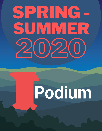# 2020 SPRING - SUMMER

## Podium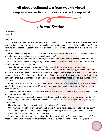#### **All pieces collected are from weekly virtual programming in Podium's own hosted programs!**



Alumni Section

*Contracted Kavin J.*

Chapter 1

 The last time I saw her, she was lying face down in a ditch off the side of the road, three years ago, cold and lifeless, and now, she's sitting across from me, sipping on a cherry coke in the New Hop Dinner like it never happened. I just stared at her in disbelief, someone who I watched die is in this old run-down dinner.

 "I loved this place as a kid! Brings back so many fond memories. The strawberry cheesecake here is to die for, and the chocolate cake is not too shabby eith..."

 "Why… h-how are you here?" I cut her off, shocked to see a dead person walking again. "You died…. I saw you die!" My mind was racing but my training only let my voice stumble for that moment. She let out a slight chuckle and smirked at me.

"Wow, it's so great to see you, Carmen. It's been nearly three years since I last saw you."

 "That would have been nice to hear before you started with all the questioning, you know. But then, you were never a person who wasted time. Straight to the point and always have been. That's one of the reasons I like you." She sighed and adjusted herself in the booth "Well, to make a long story short, I have some unfinished business that needs attending to." As she said those words, her left eye flashed with a dull, red glow.

"What happened to you? Why did you come to me, Carmen, after all these years? How are you even alive? I don't even know where to start." My mind ran faster than I could keep up with. She's alive and here, how? Why?

"You really thought a bullet could kill me?" she said with an air of confidence as she leaned back in her seat and took a sip of her drink.

"Considering it was a shot to the head... Yes, I would think a bullet would kill anybody in front of it." "Oh please, Jason's little friends wish they could kill me that easily, and they are already on my list." She laughed

"I hope I'm not on that list. I was forced there and couldn't do anything."

 "Oh, I'm well aware of your involvement in all of this. You are not an easy person to find, you know? I had to see a lot of people before I could even figure out where you were hiding; otherwise, you would have been the first person I paid a visit to, Sawyer."

 "Yeah, I made it that way on purpose. So, what do you want with me? Are you going to kill me? Go ahead, do it! I have nothing to live for anymore anyway." I swirled the black coffee I barely touched.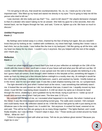"I'm not going to kill you, that would be counterproductive. No, no, no, I need you for a far more important task." She lifted up my head and stared me directly in my eyes "You're going to help me kill the person who tried to kill me."

 I was stunned, did she really just say that? "You…want to kill Jason?!" Her playful demeanor changed to that of a dictator who wasn't taking no for an answer. She held my gaze for a few seconds, then she leaned back, ran her fingers through her hair, and said, "Come on, lighten up a bit. We have so much to discuss."

#### *Untitled Progression Kavin J.*

 My feelings were locked away in a chest, chained by the fear of being hurt again. But you wouldn't know that just by looking at me. I walked with confidence, my chest held high, looking like I knew I was a bad chick, but on the inside, I was hollow like the tree in my backyard. I felt like giving up all the time, with my heart too heavy for my chest. I couldn't carry it anymore. But you helped with the rest of the weight, and I thank you.

#### *Reflection Kavin J.*

 I heard an urban legend from a friend that if you look at your reflection at midnight on the 13th of the month with the moon in view, you'll see a vision of your future self and what your life will turn out like. Of course, I didn't believe this dumb rumor. It was spread over the web to trick people into believing in a lie, but I guess that's all rumors. Even though I didn't believe in this fairytale at first, something did happen. I woke up from my sleep just a few minutes before midnight to a mostly clear sky. At midnight it would be the 13th and my birthday. I walked into the bathroom, used it, and washed my hands. I briefly looked up in the mirror, and I'm not sure what I saw. It was like a dark shadow looming over me, so I jumped back.

 The light dimmed a bit, and when I looked back at the mirror, I saw something that definitely wasn't me. It looked like me and moved as I did, but whatever that was, it wasn't me. I stupidly moved my face closer; it just felt like I was being drawn towards it. A chill ran down my spine as it shoved its hand through the mirror, shattering it, and it grabbed me by the throat, trying to pull me in. I woke up out of breath and nervous about what I had just seen. The time was 11:52 p.m.

 My curiosity got the best of me, so I recreated what happened in my dream. But when I looked up at the mirror, it was like time stopped and everything turned gray. The walls were cracked. I felt cramped and could barely move. My reflection stared at me. It felt like hours had gone by with it just staring at me. Whatever was in the mirror wasn't me. It couldn't be. Not anymore. It cocked his head, sneered at me and said, "This will be fun. We are going to do so many things together." The lights flashed, and I could finally breathe, but I was terrified. "I haven't slept in days, Doc." Those words just circled around my head. "What... What do I do?"

 "l think it's important to start with what we know. Tell me do you believe ghost stories? Because you might be in one."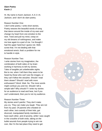#### *Slam Poetry Kavin J.*

Hi. My name is Kavin Jackson, K.A.V.I.N. Jackson, and I don't do slam poetry.

#### Reason Number One:

I don't write poetry; I write short stories. Poetry weaves the beautiful words of song that dance around the inside of my ears and change my heart from one emotion to the next. Twist and pull my mind, creep on my old dreams of nothingness, and make me lose again to a part of me. I've thought I had the upper hand but I guess not. Well, screw that. I'm not dealing with that emotional wreck; that's a problem for me to handle in style.

#### Reason Number Two:

I write stories from my imagination, the combination of both sides of my brain working in harmony to tell my stories. Tales of tangible yet unbelievable sights. But to me, when I tell them they seem to be heard by those who can't see the images, or they can't follow the storyline. Should I read them slower? Should I read with more enthusiasm? Word. Wait. No. The more words might confuse you and me. Should I tell a simple tale? Why should l? I write my stories for an audience to read and hear, but if you can't understand, then you're not my audience.

#### Reason Number Three:

My stories aren't painful. They don't make you cry. They can make you laugh. They are not from my past. Of parents who cheated on each other, lost custody of their kids, got divorced, manipulated family members to have each other, and of poverty, while I was caught in the crossfire of both ends, taking on the bullet wounds from people trying to win me over, like I'm the last place they need to get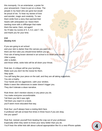this monopoly. I'm an entertainer, a jester for your amusement. I have to put on a show. The people in my heart who are gone but would be proud of me. To hear my stories of love and wonder, magic and creativity. To see them smile from a story that warmed their hearts with anticipation as I leave them wanting more with a cliffhanger that make them the same. Darn, not again! So I'll take my scores of 4, 5, 6.3, and 7. Oh, and thank you for your time.

#### *Crit Destiny H.H.*

If you are going to art school and your skin is darker than the canvas you paint on, there are five rules you should know before you go. First rule of being brown skinned in art school is to close your mouth. Utter a peep, utter a stutter, and those white, woke kids will be all down your throat.

Rule two: A critique will be your lynching.

Make sure you don't tie the noose for them.

Stay quiet.

You will hang like your piece on the wall, and they are all taking snapshots.

You are a trophy.

Your hands are too aggressive, calm your strokes.

Make it seem like references to water doesn't trigger you.

They don't tolerate a slave narrative.

Rule three: don't mention slavery in any piece you do.

You make everyone uncomfortable.

Tell them you felt it was right.

Tell them you read it in a book;

you'll seem more educated that way.

Rule four: you'll always have a resting bitch face. A professor will ask at least five times in three hours if you are okay. Are you upset?

Rule five: restrain yourself from beating the crap out of your professor. Especially when they seem to know your story better than you do. You'll hear the white kids talk about cultural appropriation like it's a new iPhone update.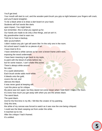You'll get tired.

Your mouth will start to curl, and the wooden paint brush you grip so tight between your fingers will crack, and you'll stand straighter.

To be a black artist is to draw a dart board on your back.

Students will hurl words like darts

upon impact. You might bend,

but remember, this is what you signed up for.

Our hands are made to do only a few things, and art ain't it.

My grandmother tried to warn me.

Told me to have a backup,

take up journalism.

I didn't realize any job I get will seem like I'm the only one in the room.

Art school wasn't made for us pieces of art.

I have tried to fit in.

I have stretched a white canvas so far over a brown frame until it tore,

exposing the wood underneath.

I have been meaning to get back to my roots,

to paint with the blood of artists before me,

but for some reason, I can't shake this noose.

There's always white around.

No color.

It's a quiet abstraction.

Each brush stroke adds more white.

It bleeds onto the gold,

covers the red, and

silences the black.

It was never good at keeping still.

I put this piece up for critique

My piece was torn apart, but they dared not come closer when I told them I made it for them. It's ironic how much you get away with when you are the artistic black.

**5**

The weird black.

The quiet black..

And for the first time in my life, I felt like the creator of my painting.

Only this time,

the white of my canvas was forced to watch as it was now the one being critiqued.

I could see the black seeping out from under the white.

It reached out to me.

After the critique I had it framed.

It's untitled.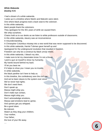#### *White Wakanda Destiny H.H.*

I had a dream of a white wakanda.

I woke up in a timeline where Martin and Malcolm were silent.

One where black progress took a back seat to the colonizer.

In this white wakanda,

black people thank the colonizers.

They apologize for the 401 years of strife we caused them.

We whip ourselves.

Chains hold us to our desks as we listen to white professors outside of classrooms.

In this white wakanda, slavery was an inconvenience

A misunderstanding,

A Christopher Columbus misstep into a new world that was never supposed to be discovered.

In this white wakanda, Harriet Tubman gave herself up and

Apologized for the underground revolution that resulted in freedom.

Freedom can only be a construct by black unruly rebels.

In this white wakanda, I bleach my skin,

I make sure to let my classmates know I'm not a threat,

I point a gun at myself to show my humanity,

My hands bound behind my back.

I'll let you beat me

If it helps to show you I mean you no trouble.

In white wakanda,

the black panther isn't here to help us.

In this timeline, the confederacy won the civil war,

And we've been slaves to the system ever since.

We've never had rights:

We don't need them.

Don't speak up,

Massa might whip you.

Don't make eye contact,

Massa might whip you.

Don't acknowledge emotions,

Massa said emotions lead to uprise,

And uprises get you whipped.

Be a good slave.

Be tolerant.

Watch as they drag your children,

Your mother,

Your father,

the love of your life away.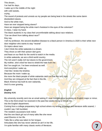This dream... I've had for days.. I wake up in the middle of the night with cold sweats, crying . The sound of protests and unrests as my people are being beat in the streets like some damn disobedient slaves. And to the white man, Have we ever stopped being slaves? Have we stopped being the white man's footstool in the eyes of the colonizer? In class, I raise my hand. The black students in my class feel uncomfortable talking about race relations. "Can we divert from talking about race?" they say. I tell my professor, the second deadliest disease to a black person in America is 2020 is their white next door neighbor who wants to stay "neutral" On topics about race. I don't think the white wakanda is a dream. They shoot us with their poison dart guns and feast on our flesh for the world to watch in the media. In white wakanda, we are a third world country. The rich aren't really rich but slaves to the government. My mother, she's tried her best to shield the hate from me. But I've caught on. I've been enslaved as well. And everytime I wake up, I feel like I broke the timeline. Because the more I wake up, the more the black people of white wakanda catch on that this isn't right. And they are intrigued at the fact that in this life, Black America has built its own wakanda, And it's ever growing.

#### *English Destiny H.H.*

My university recently sent me an email asking if I ever thought about pursuing an English major or minor. This is the third email I've received in the past few weeks trying to recruit me

into the English department.

Coming from a college preparatory high school where my writing language and literature skills soared, I couldn't say I felt humbled.

**7**

The resident caucasians took notice

that the one black girl out of many talks like she never

used Ebonics in her life.

Talks like a whip was taken to her tongue.

Articulates like she has never uttered an ain't in her life.

I'm quite familiar with many classic works of literature.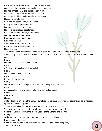For instance, Holden Caulfield in Catcher in the Rye considered the majority of human kind to be phonies. He stated that he was the realest in any room. I think the word he was looking for was silent. I think the word he was looking for was silenced. Notice the verb tense. I am well educated on my verb tenses. I am going to die, present tense. I cannot breathe, present tense. He could not breathe, past tense. Will we be able to breathe, future tense. George was here, past tense. Breonna was here, past tense. Eric was here, past tense. Sandra was here, past tense. Black people used to be left alone... Never a tense. This melanin shows that black bodies have been left in the past tense for way too long. And I ain't gotta open a Merriam-Webster dictionary to know that black and survival ain't on the same page. Black, characterized by the absence of light. Black, reflecting or transmitting little or no light. Black, served without milk or cream. Black, thoroughly sinister or evil. Black, connected with or invoking the supernatural and especially the devil. Black, not associated with any context relating to survival or peace. Peace, An illusion. Illusion, white educators shielding the heavy blow of racism from African American students so as to not cause uproar or unnecessary violence. Violence; associated with Police, see brutality on page May 25, 2020. Tell me again how an educated black woman has her melanin erased Solely because she knows the proper usage of their, there, and they're. Examples: White woman calling the police announces "they're attacking me." Proper Usage: they are. White woman caught in the car with black men with pounds of marijuana, Says "that's theirs"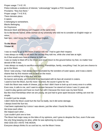Proper usage: T H E I R. Police indicate a residence of interest, "unknowingly" targets a POC household, Proclaims: "they live there." Proper usage: T H E R E. There denotes place. A space. A belonging to somewhere. Blacks Belonging. An Oxymoron. Because black and belong can't happen at the same time. So to the blonde haired, white woman at my university who told me to consider an English major or minor, Nah fam, I don't know the first thing about English.

*To the Moon Tristan W.*

I was so ready to go to the moon if NASA told me. I had to gain their respect.

I was always so ready to tell them the secrets they told me, while she cried late at night.

As if that would even have a chance to hold me.

I was so ready to blast off to the Moon and never return to the ground below my feet, no matter how devoid of life it was.

I was always so ready to sacrifice everything. Friendships, family, everything I had, for just one chance to go to the Moon.

Since I was young, I had always been fascinated by the wonders of outer space, and it was a damn shame that my first mission was to land on the moon.

Its core is nothing but a little dust and iron.

So barren and empty, yet everyone is so fascinated with its face all covered in craters.

I used to love the Moon, but the more I learned, the sourer it grew for me.

I wish the Moon was made of cheese, just so that I didn't have to look up at it every once in a while.

Even now, it calls to me, and I want to answer because I've stared at it since I was 11 years old.

I used to play games and have so much fun with it because the moon was my best friend.

But like most friendships when we are young, we just had to grow apart because nothing can ever be simple.

It couldn't just be simple.

I didn't think the Moon could hurt the Sun so badly, but it did some damage.

I always loved the Sun too.

I had been captivated by it since I was eleven, just like when I found the Moon.

We knew each other.

We helped each other…

I just couldn't pick one to love.

The Moon had major sway on the tides of my opinions, and I grew to despise the Sun, even if she was the only thing keeping me alive, while he was siphoning my energy.

**9**

AND GOD DO I HATE THE MOON.

Everyone always thinks it's so cool but no, not the Moon I know.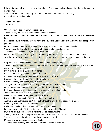ll it ever did was pull my tides in ways they shouldn't move naturally and cause the Sun to flare up and damage me.

After all this time I can finally say I've gone to the Moon and back, and honestly… It ain't all it's cracked up to be.

#### *Jewels and Roses Tristan W.*

Oh boy! You've done it now, you stupid boy.

You know why you did it, but that doesn't mean it was okay.

Be honest with yourself. You used her as a rebound and in the process, convinced her you really loved her.

I can't tell if you're a manipulative bastard, or if you were just heartbroken and wanted an escape from your mind.

Did you just want to replace the value of the roses with brand new glittering jewels?

You've never liked jewels; they've always been secondary in value to you.

That's the REAL reason why you called her Sprite.

Not just because she reminds you of a forest fairy, but because she was your second choice.

Just like the soda, you only noticed her feelings when the roses were gone and you missed them.

Stop lying to yourself and saying that you didn't do anything wrong

You chased the shine of "diamonds" when all you wanted was a bouquet of roses, and you knew, the whole damn time you knew,

but you still stole the diamonds from her and

made her chase a ghost she could never catch,

All because you wanted some roses to be there in your arms.

So what if they have thorns? At least they feel alive,

Even if they may look fragile, they're strong.

Stronger than the "diamond" you stole just to make yourself feel better.

Once you were done with the "diamond," what did you do with it?

Sinking and dissolving like the spoonfuls of sugar in the tea I've made

Just to keep my head above the water at night.

Water, oh yes, water, is the bane of my existence

But something that has fascinated me since I was a child.

And we, water and fire, just don't mix, but without the two, the fine goods we dine on

Every day would not even be possible.

And oh boy, oh boy, do I love steamed crab-legs and pasta!

I'm tired, oh so tired, of trying to fight the crashing waves, but if I don't,

My fire will go out. And the wave machine will be upset with me.

So I say, "Woe is me," as I open another can and add to the endless sea of red beside my bed.

This truly is a twisted cycle I'm in, and yet I absolutely love it.

Mmm, oh how sweet your kisses are, Doctor.

Take me away from my thoughts with the sweet love you give to me.

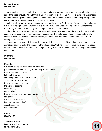#### *I'm Not Enough RaJahné H.*

Why can I never be enough? It feels like nothing I do is enough. I just want to be useful, to be seen as important, good enough. When I try my hardest, it seems like I mess up more. No matter what, something or someone is neglected. I have given all I have, and I don't have any idea what I'm doing wrong. I feel like a foreigner in my own body, and I'm letting myself down.

Will I ever be what I want, what everyone else needs me to be? It feels like I'm stuck in the darkness, like there is no light, and no way out of this misery I feel. The hatred I feel inside boils, and for some reason, my prayers aren't working. I'm losing faith, or did I ever have faith?

 Then, the Sun comes out. The cold feeling slowly melts away. I can hear the sun telling me everything is going to be okay, and for some reason, I believe her. She looks like nothing I've seen before. She shines in ways I didn't know I needed. Her rays find their way into every inch of darkness. "You are enough," she tells me.

 If someone this powerful, this amazing can see it, it has to be true. Maybe, just maybe I am missing something about myself. She sees something I can't see. With her energy, I have the strength to get up and try again. I may not be perfect, but I'm going to try. Wrapped in my blue armor, I will fight, and I know I won't lose.

#### *Dystopia RaJahné H.*

It's dark.

We are stuck inside, away from the light, and packed in like sardines waiting for the okay to resume life. People are breaking rules, fighting the power, screaming to be let out of this prison. Slowly the can is opening. People are running out and the world is opening. I'm crumbling. I'm spiraling. People are asking for me to get back to life. Is it safe? Can we live, will we live? Is money worth the risk? Anxiety is rising. I can't breathe.

#### *Sugar RaJahné H.*

The taste of sugar is on my mind; need candy to stay alive, ugh.

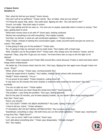#### *A Space Scene RaJahne H.*

*"RaJ, what the hell are you doing?" Kavin shouts.*

 *"Hey don't yell at my girlfriend," Tristan retorts. "But, uh babe, what are you doing?"*

 *"I'm fixing the space ship, idiots," RaJ yells back, flipping her afro. "Do y'all want to die?"*

 *"Uuuuh, not really," they both reply in unison.*

 *"Then stop talking and let me save us. You men are so stupid, especially when it comes to money," RaJ says, getting back to work.*

 *"What does money have to do with it?" Kavin asks, looking confused.*

 *"Money has everything to do with everything." RaJ replies snarkily.*

 *"And that, my friends, is what we call unchecked capitalism," Tristan chimes in.*

 *"Okay Tristan, instead of starting this conversation again, make yourself useful and get me some ice cream," RaJ replies.*

 *"Is that going to help you fix the problem?" Tristan asks.*

 *"No, it's going to help my stomach and my taste buds," RaJ replies with a head snap.*

 *"Well, shouldn't you fix the problem first?" Tristan asks. RaJ simply turns her head to Tristan, and he responds "Okay, okay fine I'll get you ice cream," He knew there was no way to win the fight so he obeyed.*

 *"Whipped," Kavin responds and Tristan flails around like a duck because Tristan is weird and does weird things when embarrassed.*

 *"He better be, if he knows what's best for him," RaJ says, flipping her hair again even though it does not move. "Guys!"*

 *"What, what's wrong," Tristan says, running towards RaJ.*

 *"I beat the expert level in Sudoku!." RaJ replies, holding up her phone with amusement.*

 *"Really?" Kavin responds, "You ju-,"*

 *"I'm so proud of you babe!" Tristan interjects, cutting Kavin off.*

 *"It only took me 35 minutes this time! Sudoku is really the best medicine for the brain!" RaJ says excitedly.*

 *"You are so right my love," Tristan replies.*

 *"Sooooo, what have you been fixing this whole time then?" Kavin responds.*

 *"The problem. I was fixing the problem," RaJ says, feeling attacked.*

 *"But for the past 35 minutes, you've been playing Sudoku, so you haven't been doing anything other than that," Kavin says.*

 *"Kavin, you should..."*

 *"SO YOU DON'T THINK I'VE BEEN WORKING?" RaJ yells, cutting Tristan off.*

 *"I tried to tell you, Kavin," Tristan whispers.*

 *"IT SOUNDS LIKE I'M NOT BEING APPRECIATED," RaJ screams at the boys.*

 *"Sweetheart, everything is okay. We both know you run this whole operation," Tristan says, reaching for a hug from RaJ, "Right Kavin?"*

**12**

 *"Yes, I am so sorry I didn't see it before," Kavin says.*

 *"Let's talk about something else," Tristan says desperately. "Climate change?"*

 *"NO," RaJ replies.*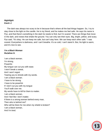#### *Nightlight Kavin J.*

 The dark was always too scary to be in because that's where all the bad things happen. So, I try to stay close to the light on the candle. He is my friend, and he makes me feel safe. He says his name is Pyo, and that there's something in the dark he needs to find, but I'm scared. There are things that move in the dark, and noises that shake the ground. You can only see their eyes. Big, bright, yellow, and scary. Pyo said, "It's okay. He can keep me safe, but can't stay here. We can keep each other safe." I was scared. Everywhere is darkness, and I can't breathe. It's so cold, I can't stand it. But, his light is warm, and it's nice to see.

**13**

#### *I'm a Black Woman RaJahne H.*

I am a black woman. I'm strong, Powerful. My tongue can cut you with ease. I won't break a sweat, And I won't regret Tearing you to shreds with my words. I am a black woman. I have to be strong. I have to be powerful. If I don't cut you with my tongue You'll walk over me. My words have to kill for them to matter. I am a black woman, And I feel like I don't matter. If there is a strong woman behind every man, Then who is behind me? Who will be there for me when my shield is broken? I am a black woman, And I'm tired.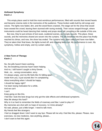#### *Hollowed Symphony Kavin J.*

This empty place used to hold the most wondrous performances, filled with sounds that moved hearts and became cinema reels in the memories of the audience. These broken walls built by old songs and voices. The lights now faded, dim, and the wood floors cracked. The stage set for the show that would have wowed the crowd, leaving them stunned with raving reviews. Their voices ranged through, where instruments could be heard dancing their melody and props stood tall, providing a life outside of this one.

 But now, they're just echoes of lost souls, scattered scenes, and empty sounds. This place, these sounds, and the memories shared are woven into the curtains. The life breathed into this place has finally reached its climax, and now, the show has ended. The curtains have been called and have now fallen. They've taken their final bows, the lights turned off, and clapping fades out. My performance is over. My symphony, hollow and empty, and my curtain called.

#### *A New Form of Therapy Kavin J.*

No, the pills haven't been working. No, the breathing exercise hasn't been helping. And no, I still haven't caught a shiny Eevee, Wait...no... wrong conversation, sorry. I'm always angry, and my life feels like it's falling apart. Aside from you, it just sounds like I'm complaining About everything when I should be happy. I should be happy right? I've been losing motivation for a while, And we can't I can't Keep going on like this. I feel like I took the best drugs but only got the side effects and withdrawal symptoms. Was life always this hard? Why is it so hard to remember the fields of rosemary and lilac I used to play in? My memories are shot with no hope of recovery. Is it time already? No wait, please, just a little longer. I need to talk more. My friends feel like strangers. I feel so dragged down I don't want to say bye. Please tell me why I feel like this, please. Please, new exercises, ne-new medicine, new anything, please... I don't want to feel this again.

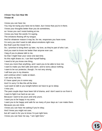#### *I Know You Can Hear Me Tristan W.*

I know you can hear me.

You may be trying your best not to listen, but I know that you're in there.

I know your thoughts better than you do sometimes,

so I know you can't resist looking at me.

I know you hear the words I'm saying.

The emotions flowing off my tongue.

And for whatever reason it may be, for me, responses you have none.

I'm sorry you don't want to talk about emotions right now.

But that's just the mood I'm in.

So, I promise to bring them up later, my love, as they're part of who I am.

And you want to know me better than anyone ever can.

I beg of you to please talk to me,

So that I might hear your voice one last time.

As this night draws on, I can feel myself fading.

I need to let you know one thing.

I love you more than anything, and I want you to be able to love me.

I want to make you feel safe and warm, and to worry about nothing.

I want to be our protector, though, I'm not very strong.

I will love you in my dreams

and continue when I wake at dawn.

I am sorry my love,

if I have upset you in some way.

And I'm sorry I'm like this all the time.

I just want to talk to you tonight before we have to go to sleep.

I miss you.

The past couple days have been full of drama, and I don't want to run from it. I want to fight it as hard as we can.

Because I want to be yours and only yours.

I want you to be happy in my arms.

I want you to be happy and safe for as many of your days as I can make them. Because you are mine.

**15**

I know you can hear me asking if you're okay.

And I know you might not care,

but all I want is for you to know I'm just right here.

I know you can hear me say, "l am right here."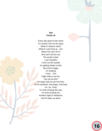#### *Nye Tristan W.*

Every day goes by the same. I'm scared. He's so far away. What if it doesn't work? What if I can't look at... him. What if he can't fix it? She won't let him out. The world is dark. I can't breathe. I miss my life outside. It's getting harder to feel. My mind is foggy. I'm shaking. I miss… him. Eight miles is too far. Can we do this? I'm angry that he can't be here. I'm so stressed. And angry. And tired. I'm. So. Tired. I'm tired of being this way. I'm tired of being me. Another night of melatonin, And I'll wake up alone.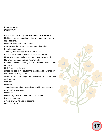#### *Inspired by M. Destiny H.H*

My sculptor placed my shapeless body on a pedestal.

He kissed my curves with a chisel and hammered out my imperfections.

He carefully carved out my breasts

making sure they were how the creator intended.

Imperfect but beautiful.

A bounty that provides more than it takes.

My sculptor knew me before I even knew myself.

He carved ears to make sure I hung onto every word.

He whispered the universe into my body,

traced the systems into my skin and blew butterflies into my stomach.

He left my heart for last,

placed a piece of his soul in the marble and he wished love into the small of my spine.

When he was done, he put his chisel down and stood back and admired

his work.

He cried.

Turned me around on the pedestal and looked me up and down from every angle.

He smiled.

He held my hand and lifted me off of my feet.

I was his creation,

a mold of what he was to become.

I was his future.

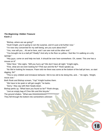#### *The Beginning: Hidden Treasure Kavin J.*

"Bishop, where are we going?"

"Hush Knight, you're going to ruin the surprise, and it's just a bit further now."

"I'm now very concerned for my well being; are you sure about this?"

"Yes, now will you... Ah we're here, and I can see rook at the other end."

 "You brought me to a ball pit? Really? And why is the floor so yellow. I feel like I'm walking on a dry sponge."

 "Hey guys, come on and help me look. It should be over here somewhere. Oh, sweet. This one has a mouse on it!"

"Dibs! Nice." She sighs, "Will you hurry up? We don't have all night." Knight sighs,

"Fine, what are we even looking for? Pink eye and the flu?" Rook speaks up,

 "No We're looking for treasure. Pawn told me there was some at the bottom of the ball pit here, so start digging, Sir!"

 "This is very childish and immature behavior. We're too old to be doing this, and…" He sighs, "Alright, move over."

**18**

Both Rook and Bishop scream, "Yay!" Knight hushes them.

"We have to be quiet or will get caught," he barks.

"Sorry," they say with their heads down.

Bishop perks up, "What have you found so far?" Rook shrugs,

"Just an empty bag of Chex Mix and this bicycle."

The ground shakes. "What was thAAAAAAAAATTTTTTT!!!!!!!"

They fell through the bottom into somewhere unknown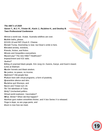

#### *The ABC's of 2020 Savon T., M.J. P., Tristan W., Kavin J., RaJahne H., and Destiny B. Teen Professional Conference*

**A**lmost a world war. Avatar. Australia wildfires are over. **B**ubble baths, please. **C**OVID-19 and RIP Chuck E. Cheese. **D**onald Trump, DoomsDay is near, but Dean's smile is here. **E**levated anxiety, evictions, **F**riends, friction, and fiction. **G**hosts and Geopolitics everywhere. **H**azard pay? The new Hitler? Healthcare? **I**mpeachment and ICE raids. **J**ustice? **K**illing of unarmed black people. Kim Jung Un. Karens, Kanye, and Kavin's beard. **L**ines at Walmart. **M**urder hornets and Mask wisdom. **N**o justice, no peace, no income. **O**ptimism? Old people fear. **P**odium here with virtual programs, a form of positivity. **Q**uarantine silence and stirs. **R**aJahne quit Shoneys, and **S**avon and Tristan turn 19. **T**ik Tok takedown of Tulsa. **U**nity? Unchecked politics. **V**irtual world explosion. Vaccination? **W**hat, Winter? When did that happen? **X**anthan gum makes smoothies thicker, and X box Series X is released. **Y**oga is dope, so are yoga pants, and **Z**oom is now how we meet.

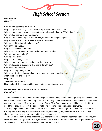

#### *Philophobia.*

*Niles W.*

Why am I so scared to fall in love? Why do I get scared to go into a relationship after so many failed ones? Why do I feel moonstruck after talking to a guy who might date me? We're just friends. Why am I so scared to get hurt again? Why do I have these urges to find the  $one$ , and then never speak again? Why am I so scared to experience a "normal" emotion? Why can't I think right when I'm in love? Why can't I be happy? Why can't I live in the moment? Why must I be so scared to open my heart to new people? Why do I fear getting hurt? Why do I fear love? Why do I fear falling in love? Why do I fear everyone who claims that they "love me"? Why am I scared of everything that has to do with love? Why can't I be normal? Why can't I stop being scared? Why must I live in jealousy and pain over those who have found the one, when there's no one for me? Help me. Someone. Somewhere. Help me break this curse, and let me experience happiness again.

#### *We Need Positive Student Stories on the News Ka'mariya T.*

 The news should have more positive things on it instead of just the bad things. They should show how some places in the U.S have money raised, but that may not be everywhere. They should show the teens who are graduating at 15-years-old because of their GPA. Some students should be recognized for the good things they do. Mostly, the good is not being recognized enough around the world.

 A way to put these stories on the internet is have a social media page for some of the positive things that happen. For example, if some students have good things going on in school, their school page should put something up for them and their achievements.

 The world can have a page called the U.S economy about the money decreasing and increasing, but why? Students don't get seen for the good things in life. Sometimes life is hard, but people don't realize students are criticized by the way we act, and that's a problem.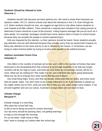#### *Students Should be Allowed to Vote Shacorie J.*

Students should vote because we have opinions too. We need to share them because our opinions matter. All U.S. citizens should vote about the decisions in the U.S. Even though the U.S. thinks students should not vote, we suggest an age limit to only allow mature students to vote instead of all little children. There should be a maturity test included in the voting process to determine if teens should be a part of the process. Voting impacts teenager life just as much as it does adults. For example, teenagers should have some options when it comes to school issues because they are actually the people in school experiencing it.

Kids are impacted by the election, so their opinions should be heard. Some students actually pay attention and are well informed because they actually worry how our government impacts us. Many pay attention to the news and try to act in alliance to the issues. In conclusion, we are trying to make America better by trying to involve more people in the political process.

#### *Address Australian Forest Fires Ashantay C.*

One billion is the number of animals we've lost, and 1,400 is the number of homes that were destroyed in the devastating fires that continue to rip through Australia. If we wait any longer, numbers will be too high to count, and what we once knew as a sovereign country will be no more. What are we waiting for? We made it so far, but it still feels like we're going backwards. What can we do to emerge from what seems like the end of days?

Any small thing helps. Every cent that we donate, every post that we share, and every word that we speak, helps. You don't have to be a multi-millionaire or an A-list celebrity to speak out. No matter where you're from, what you look like or who you are, every single voice matters. If we all work together and use our voices, Australia's orange skies can turn back to blue.

**21**

#### *Climate Change Maryjane P.*

Climate change is a real thing. Why does the school bell ring to tell us we're being excused for severe storming? Our top worry should be passing class, not getting warnings to help us live through the morning. It's so hot when I walk home in May that I have to change my clothes after the school day.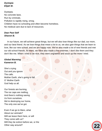#### *Dystopia Elijah W.*

Dystopia. No concrete laws. Run by criminals. Pollution is rapidly rising, smog. Children have no schooling and often become homeless. No medical care due to lack of resources.

#### *Dear Past Self Shavon B.*

In our future, we will achieve great things, but we will also lose things like our dad, our mom, and our best friend. As we lose things that mean a lot to us, we also gain things that we learn to love, like our new school, and we are happy now. We've also made a lot of new friends and met our old school friends. At times, we have also made a few enemies. I don't like them and they don't like me. When I tried to be nice, they were ungrateful and stuck up the more I tried.

#### *Global Warming Kameron B.*

She's crying Out and you ignore The calls. Mother Earth, she's going to fall. O' Mother Earth God help us all.

Our forests are burning, The ice caps are melting, And there's nothing saving Us from ourselves. We're destroying our home, The only one we've got.

Even if we go to Mars, what About our animals? Will we leave them here, or will They come with us? Will they be extinct before we, or the Other way around? **22** 

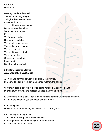#### *Love BB Bianca G.*

Dear my middle school self, Thanks for helping me get To high school even though It was hard for you. You could have stayed single Because some boys just Want to play with your Feelings. You're very good at History and math but, You should have passed. This is okay now because You can retake it. You could have controlled Your temper, been Quieter, and also had Less friends. But always be yourself.

#### *2 Sentence Horror Stories ACE Graduation Celebration*

A - Alex and her friends went to go chill at the movies.

B- Boom! The lights went out, and bones fell from the ceiling.

C- Certain people can feel if they're being watched. Clearly you can't.

D- Didn't turn around, and at first darkness, and then nothing.

E- Everything went silent. Then a blood curdling scream arose from behind you.

F- Far in the distance, you see blood spurt in the air.

G- Get help now.

H- Harrietta tripped and fell, but we don't see her anymore.

I- It's coming for us right now.

J- Just keep running, and it won't catch us.

K- Killing sprees happen every year around this time.

L- Lives lost, but bodies found. **23**

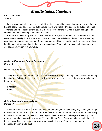

#### Middle School Section

#### *Less Tests Please Jada F.*

I am advocating for less tests in school. I think there should be less tests especially when they are back-to-back. Tests stress people out because they have multiple things going on outside of school. Teachers and other adults always say that it prepares you for the real world, but at this age, kids shouldn't be this stressed just because of school.

People, like some of my teachers, think the education system is broken, and there are multiple reasons why. I really think that we should have less tests, especially with the stuff we are learning now. Some things we learn, we may forget because we will never need to use it, but there are also a lot of things that are useful in life that we learn in school. What I'm trying to say is that we need to fix our education system in many ways.

#### *Advice to Elementary School Graduates Sydnei J.*

Dear rising 6th graders,

The transfer from elementary school to middle school is tough. You might want to listen when they have Back to School Night, and you can visit some of your classes. You might also want to have a friend group.

Sincerely, Sydnei

#### *Getting Lost on the Way to Class Sahara W.*

**24** You should make a route that isn't too crowded and that you will take every day. Then, you will get muscle memory and won't be lost anymore. You should also try to remember what end of the hallway has what room numbers, in case you have to go to some other room. When you're planning your route, try to make it as quick as possible. You should try a few different ways in the beginning to find the best way. Once you've decided your route, stick to it, and you'll never be lost again! (Repeat with each grade level.)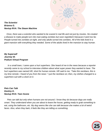

#### *The Scientist Brianna G. Nextup RVA: The Steam Machine*

Once, there was a scientist who wanted to be scared in real life and not just by movies. He created a disease to make people turn into man-eating zombies but soon regretted it because it went too far. People turned into zombies at night, and only adults turned into zombies. All of the kids lived in a *giant mansion with everything they needed. Some of the adults lived in the mansion to stay human.*

#### *My Superself Journey W. Podium Virtual Program*

In a small town, I came upon a hurt superhero. She heard of me in the news because a reporter *recently came to my school to interview children about what super power they wanted to have. The hurt superhero was named HR, short for human remote. HR said to me, "Take this necklace, this is* my time remote. I heard of you from the news." I put the necklace on; then, my clothes changed to a *superhero suit with a clock on it.*

*Pets Can Talk Destiny D. Nextup RVA: Teen Scene*

*Pets can talk but only when humans are not around. I know they do because dogs are really smart. They understand when you are about to leave the house, getting ready to grab something to* eat, using the bathroom, etc. My dog seems like she can talk because she makes a lot of weird *faces. Also, when they bark, it feels like they are telling us something.*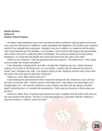#### *Murder Mystery Sahara W. Podium Virtual Program*

*"Oh officer, thank goodness you're here! My wife has been murdered! I had just gotten home from work, and from the moment I walked in, I knew something had happened. The furniture was smashed* and all of our valuable decor was gone. I thought it was just a robbery, so I waited to call the police until I had inspected all of the damage. I went upstairs, only to find my wife lying on the ground dead *with a knife in her back! I called the police immediately. The cameras outside don't show anyone breaking in, so I know the only people who could have done it are the cook or the maid."*

*"Thank you Mr. Robinson. I will now question these two suspects." The officer turns, "Chef, where were you when the murder took place?"*

*"I was downstairs cooking dinner, just after I brought Mrs. Robinson her tea. I heard someone* making a lot of noise in the living room, so I ran outside. I couldn't call 911 because the phone is inside. Once I thought it was safe, I ran inside to check on Mrs. Robinson and the maid, only to find *the maid in the room with the dead Mrs. Robinson!"*

*"Thank you, Chef. Maid, where were you?"*

*"I was cleaning the spare bedroom when I heard the chef go into Mrs. Robinson's room with tea.* Not even 10 minutes later. I heard a ruckus in the living room. I was about to run downstairs, but I thought better of it. I ran into Mrs. Robinson's room instead, and there she was lying on the floor dead! I bolted the lock, so I wouldn't be murdered too. That's why you found me in there when you *got here."*

"Thank you, Maid. Now, I'm going to go examine the body. It appears that the knife is the same as the ones stored in the kitchen. The tea is on the desk beside her, untouched. Well Mr. Robinson, I *who the murderer is. Officers, arrest the chef!"*

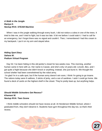

#### *Raniya K. Nextup RVA: STEAM Machine*

When I was in the jungle walking through every bush, I did not notice a cobra in one of the trees. It tried to bite me, and I tried to fight, but it was too late. It bit me before I could stab it. I had to call for an emergency, but I forgot there was no signal and couldn't. Then, I remembered I had this cream in my backpack. I put it on my arm and stayed alive.

*Hiding Spot Diary Sahara W. Podium Virtual Program*

Day 54: I've been hiding in this old janitor's closet for two-weeks now. This morning, another human came in here with us. Her name is Cassie, and she's only 14-years-old. Lincoln, Bex, and I got quite a fright because she didn't knock or anything; instead, she just burst in. We thought the school shelter had been overwhelmed by the robot army.

I'm glad I'm in a safe spot, but if the human army doesn't win soon, I think I'm going to go insane. The rations today were 6 saltines, 3 sticks of jerky, and a can of sardines. I wish I could go home. We found a deck of cards on the highest shelf in the closet. They're pretty beat up, but anything helps.

*Should Middle Schoolers Get Recess? Khamani M. Nextup RVA: Teen Scene*

I think middle schoolers should not have recess at all. At Henderson Middle School, where I graduated from, they don't deserve it. Students have gym throughout the day too, so that's their recess.



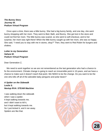#### *The Bunny Story Journey W. Podium Virtual Program*

Once upon a time, there was a little bunny. She had a big bunny family, and one day, she went bunny shopping with her mom. They went to Bed, Bath, and Bunny. She got lost in the store and could not find her mom. The little bunny was scared, so she went to self-checkout, and to her surprise, her mom was right there! When the little bunny caught up with her mom, she was so happy. She said, "I need you to stay with me in stores, okay?" Then, they went to Red Robin for burgers and shakes.

*Letter to my Generation Sahara W. Podium Virtual Program*

Dear Generation Z,

We need to work together so we are not remembered as the last generation who had a chance to fix the environment. Climate change is going to reach an irreversible point in 10-years, and we have a chance to make sure it doesn't reach that point. We NEED to be the change. Do you want to be the one who kills off all of the adorable baby penguins and polar bears?

*A Spider on the Sidewalk Leslie S. Nextup RVA: STEAM Machine*

I was walking down the sidewalk when I saw a spider. It kept walking towards me, and I didn't want to kill it, but it kept walking towards me. So I just kicked it, and it ran away. Spiders are like that.



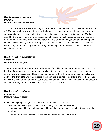#### *How to Survive a Hurricane Davida S. Nextup RVA: STEAM Machine*

To survive a hurricane, we would stay in the house and turn the lights off, in case the power turns off. After, we would go downstairs into the bathroom or the guest room to hide. We would also get snacks and other important stuff that we need, just in case it's still going to be going on. My dog would be there too. I would bring something to do because we might get bored and want to play a board game. We need to bring food and water, just in case we get dehydrated, and an extra pair of clothes, in case we stay there for a long time and need to change. It will just be me and my mom because my brother will be going off to college. I hope my other family will be safe. That's what I would do to survive.

#### *Weather Alert - Thunderstorms Sahara W. Podium Virtual Program*

When a severe thunderstorm warning is issued, if outside, go to a car or the nearest accessible building. If on a walk and very near home, go back to the house. If at home, go to the basement where there are flashlights and food inside the emergency box. If the power does go out, stay calm and use the flashlights and wind up radio. Neighbors are expected to be able to protect themselves especially since thunderstorms are usually predicted ahead of time. If you see a severe thunderstorm watch or warning, or see storm clouds, DO NOT GO ON A WALK.

*Weather Alert - Landslides Journey W. Podium Virtual Program*

In a case that you get caught in a landslide, here are some tips to use.

- Go to another level in your house, so the flooding won't rise to that level.
- If you have something to seal your door with, use that, so there won't be a lot of flood water in your house.
- If you are not at your house, get to the nearest restaurant, so you are safe.

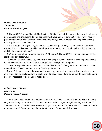#### *Robot Owners Manual Sahara W. Podium Virtual Program*

Delitterer 5000 Owner's Manual: The Delitterer 5000 is the best Delitterer in the line yet, with many new features and improvements on older ones! With your new Delitterer 5000, you'll never have to pick up trash again! The Delitterer was designed to always pick up litter you see in public, making following this rule so much easier!

Small enough to fit in your bag, it's easy to take on the go! The high power vacuum pulls trash towards it and holds on tight, making sure it won't drop to the ground again until you find a trash can and flip the vacuum switch off.

Don't want the garbage anywhere near you? The new Delitterer 5000 has an expandable arm that reaches up to 9 feet away!

To use the Delitterer, leave it by a sunny window or spot outside with the mini solar panels facing the direction of the sun. When it is fully charged, the LED light will turn green.

To use the expandable arm, push down on the blue button. To bring it back in, push down on the orange button. To activate the vacuum, flip the purple switch.

If your LED light is red and the vacuum isn't working, you need to charge it. If it starts to heat up, quickly get it into a cool area for it to cool down. If it doesn't cool down or repeatedly overheats, bring it to your nearest litter picker-upper repair store.

#### *Robot Owners Manual Journey W. Podium Virtual Program*

Your robot is used for chores, and here are the instructions. 1. Look on the back. There is a plug, so you can charge your robot. 2. The robot will need to be charged at night, starting at 6:00 pm. 3. This robot has a built in Siri. Here are some things you should not do to the robot. 1. Do not make the robot stressed. 2. Do not get anything wet on the robot. Please handle it with care.

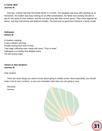#### *A Family Meal Journey W.*

 One day, a family had their first family dinner in a month. The daughter was busy with catching up on homework, the mother was busy working on an office presentation, the father was working two jobs to pay for the wants of their children, and the son was busy with after school sports. They came together for dinner, and they had shrimp and buttered noodles. The food was so good that it became a family recipe.

#### *Halloween Sahara W.*

A shadow creeping, A jack-o-lantern grinning, People running from door to door, Their bags collecting more candy with every "Trick or treat!" Halloween is a holiday that delights many Yet still causes fright.

#### *Advice to New Students Journey W.*

Dear student,

 There are some things you need to know about going to middle school. Most importantly, you should make a list of room numbers, so you can remember what class you are going to next.

 Sincerely, **Journey** 

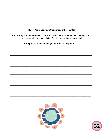#### TRY IT! Write your own Short Story or Free Write!

A short story is a fully developed story, like a novel, that involves the use of setting, plot, characters, conflict, and a resolution. But, it is much shorter than a book!

Prompt: You discover a magic door that takes you to . . .